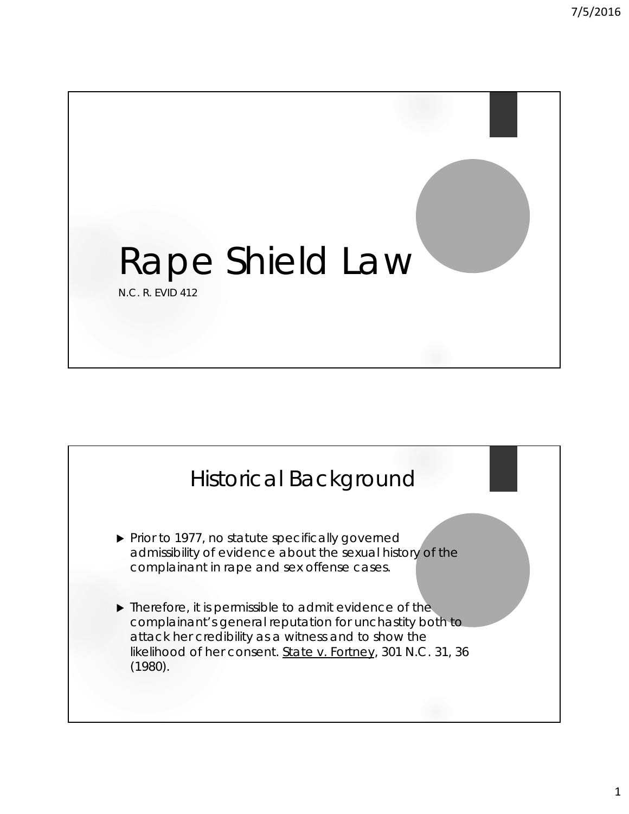

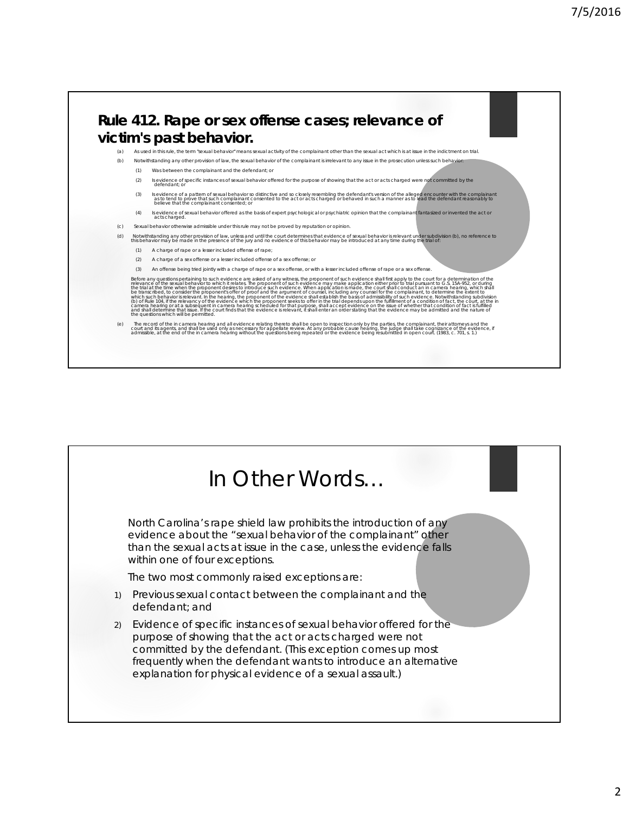

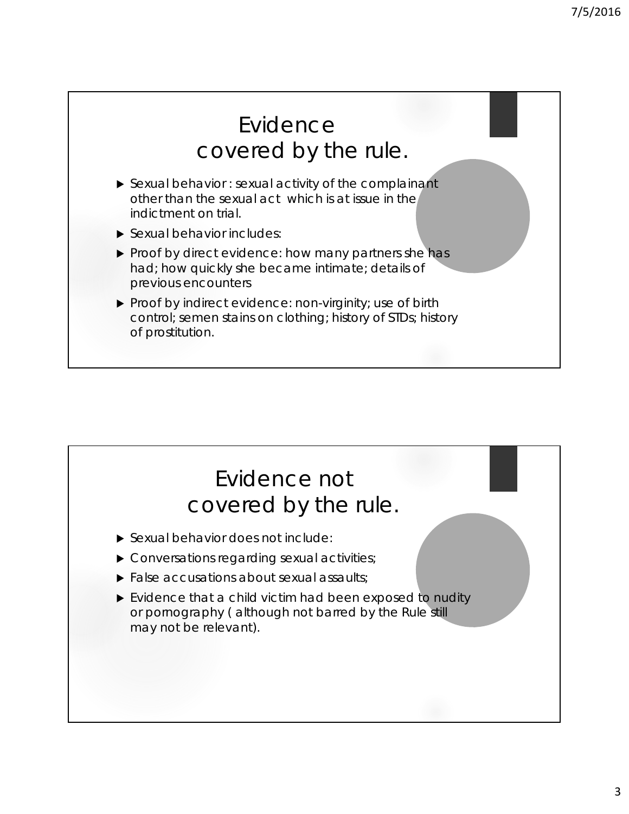

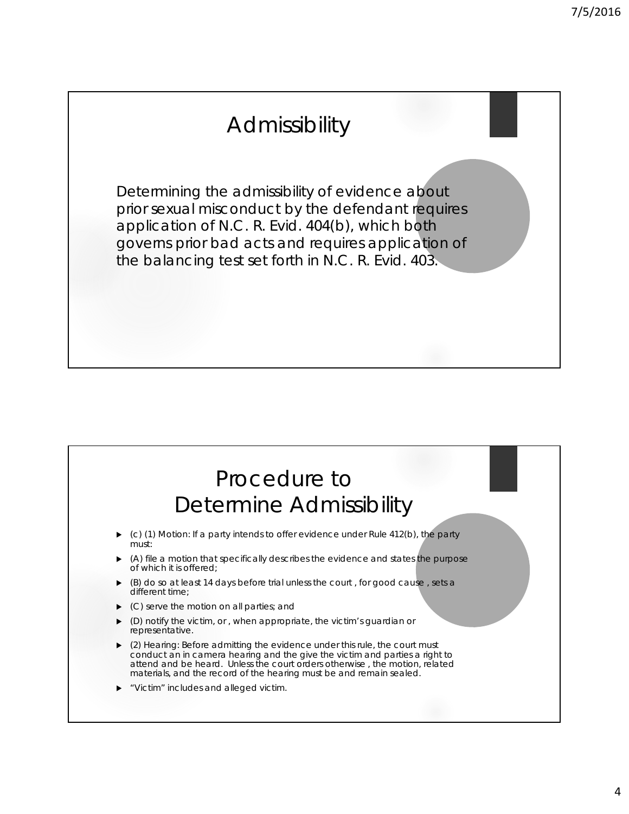## Admissibility

Determining the admissibility of evidence about prior sexual misconduct by the defendant requires application of N.C. R. Evid. 404(b), which both governs prior bad acts and requires application of the balancing test set forth in N.C. R. Evid. 403.

## Procedure to Determine Admissibility

- (c) (1) Motion: If a party intends to offer evidence under Rule 412(b), the party must:
- (A) file a motion that specifically describes the evidence and states the purpose of which it is offered;
- (B) do so at least 14 days before trial unless the court , for good cause , sets a different time;
- (C) serve the motion on all parties; and
- (D) notify the victim, or , when appropriate, the victim's guardian or representative.
- (2) Hearing: Before admitting the evidence under this rule, the court must conduct an in camera hearing and the give the victim and parties a right to attend and be heard. Unless the court orders otherwise , the motion, related materials, and the record of the hearing must be and remain sealed.
- "Victim" includes and alleged victim.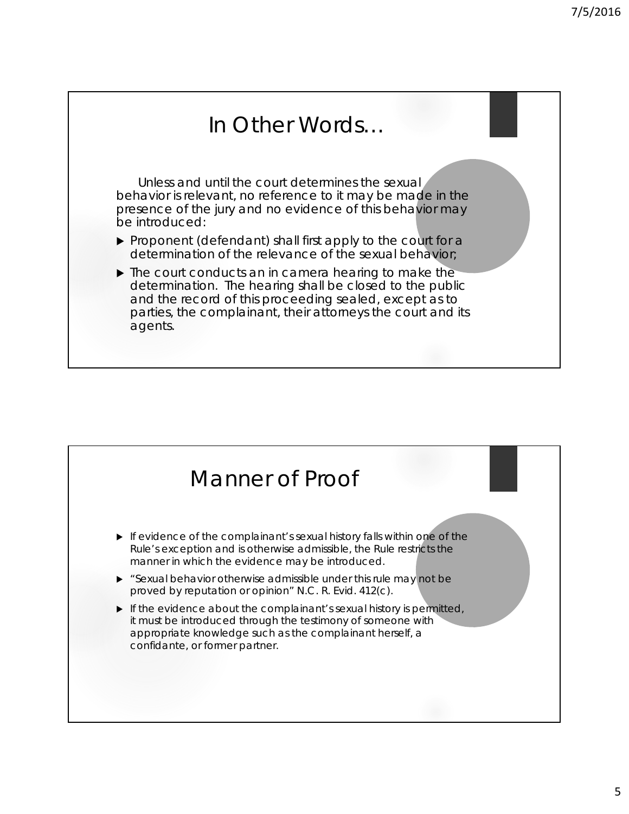

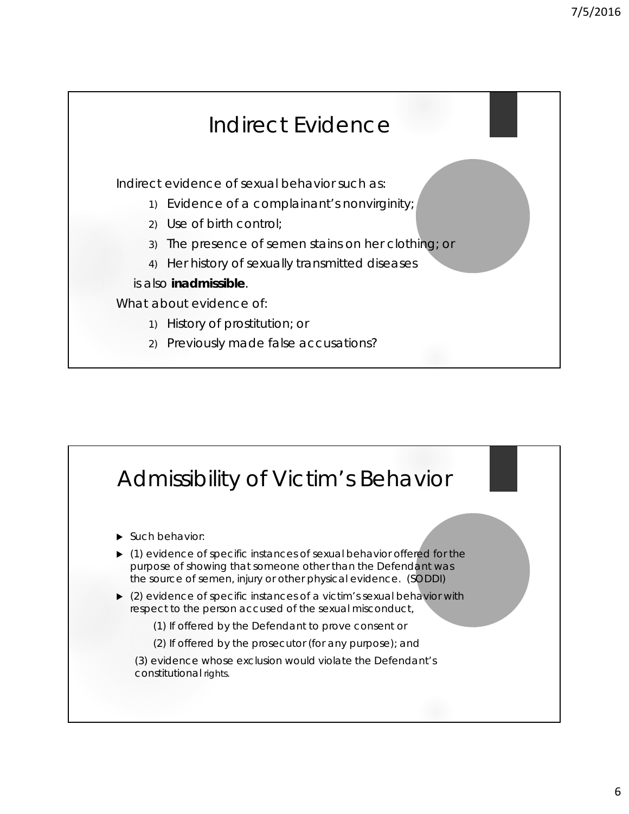## Indirect Evidence Indirect evidence of sexual behavior such as: 1) Evidence of a complainant's nonvirginity; 2) Use of birth control; 3) The presence of semen stains on her clothing; or 4) Her history of sexually transmitted diseases is also **inadmissible**. What about evidence of: 1) History of prostitution; or 2) Previously made false accusations?

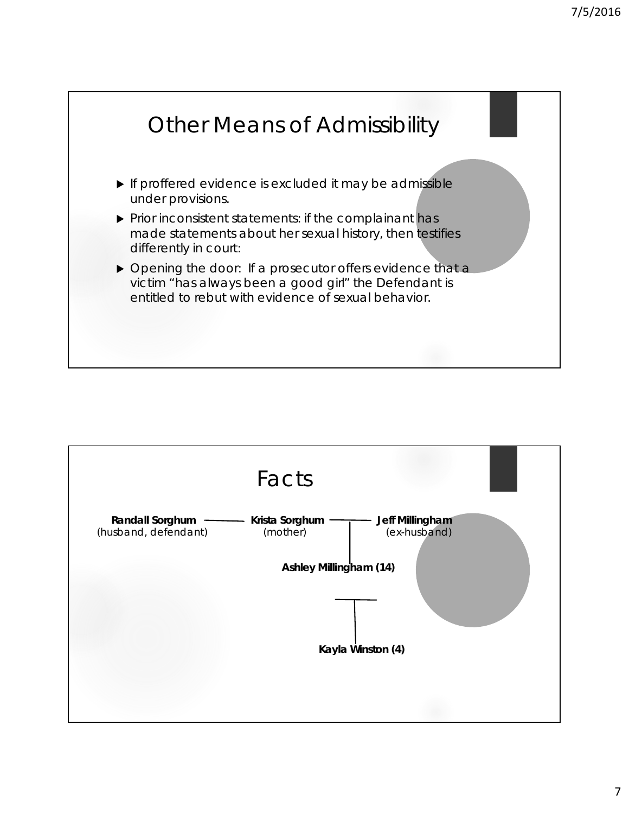

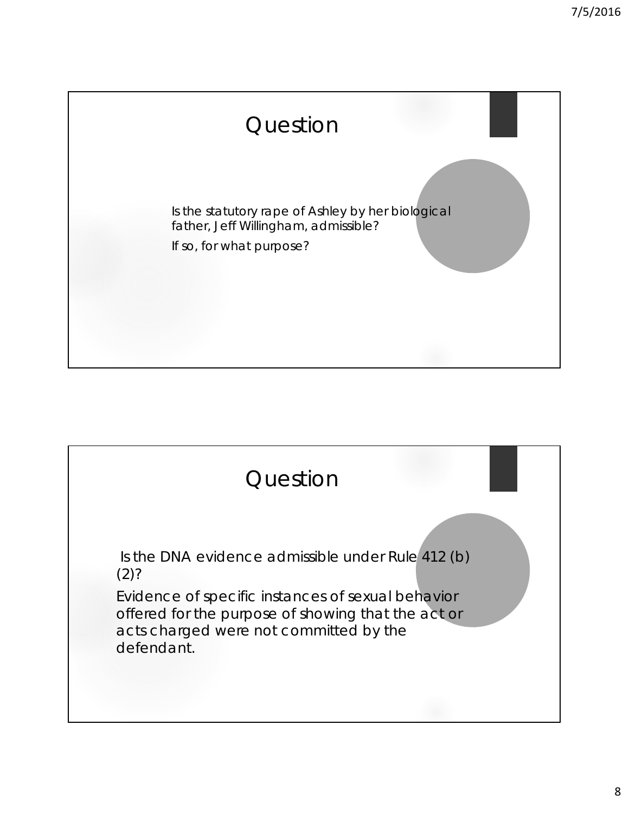